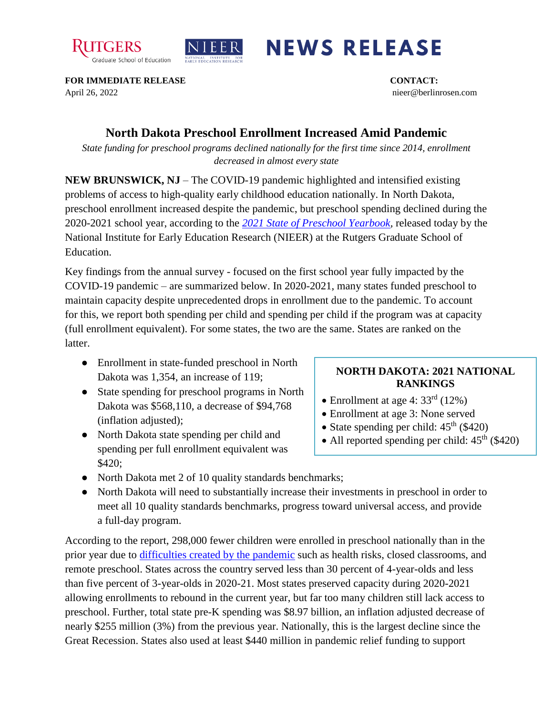



## **NEWS RELEASE**

**FOR IMMEDIATE RELEASE CONTACT:**  April 26, 2022 nieer@berlinrosen.com

## **North Dakota Preschool Enrollment Increased Amid Pandemic**

*State funding for preschool programs declined nationally for the first time since 2014, enrollment decreased in almost every state*

**NEW BRUNSWICK, NJ** – The COVID-19 pandemic highlighted and intensified existing problems of access to high-quality early childhood education nationally. In North Dakota, preschool enrollment increased despite the pandemic, but preschool spending declined during the 2020-2021 school year, according to the *[2021 State of Preschool Yearbook,](https://nieer.org/state-preschool-yearbooks-yearbook2021)* released today by the National Institute for Early Education Research (NIEER) at the Rutgers Graduate School of Education.

Key findings from the annual survey - focused on the first school year fully impacted by the COVID-19 pandemic – are summarized below. In 2020-2021, many states funded preschool to maintain capacity despite unprecedented drops in enrollment due to the pandemic. To account for this, we report both spending per child and spending per child if the program was at capacity (full enrollment equivalent). For some states, the two are the same. States are ranked on the latter.

- Enrollment in state-funded preschool in North Dakota was 1,354, an increase of 119;
- State spending for preschool programs in North Dakota was \$568,110, a decrease of \$94,768 (inflation adjusted);
- North Dakota state spending per child and spending per full enrollment equivalent was \$420;

## **NORTH DAKOTA: 2021 NATIONAL RANKINGS**

- Enrollment at age 4: 33<sup>rd</sup> (12%)
- Enrollment at age 3: None served
- State spending per child:  $45<sup>th</sup>$  (\$420)
- All reported spending per child:  $45<sup>th</sup>$  (\$420)
- North Dakota met 2 of 10 quality standards benchmarks;
- North Dakota will need to substantially increase their investments in preschool in order to meet all 10 quality standards benchmarks, progress toward universal access, and provide a full-day program.

According to the report, 298,000 fewer children were enrolled in preschool nationally than in the prior year due to [difficulties created by the pandemic](https://nieer.org/wp-content/uploads/2021/02/NIEER_Seven_Impacts_of_the_Pandemic_on_Young_Children_and_their_Parents.pdf) such as health risks, closed classrooms, and remote preschool. States across the country served less than 30 percent of 4-year-olds and less than five percent of 3-year-olds in 2020-21. Most states preserved capacity during 2020-2021 allowing enrollments to rebound in the current year, but far too many children still lack access to preschool. Further, total state pre-K spending was \$8.97 billion, an inflation adjusted decrease of nearly \$255 million (3%) from the previous year. Nationally, this is the largest decline since the Great Recession. States also used at least \$440 million in pandemic relief funding to support